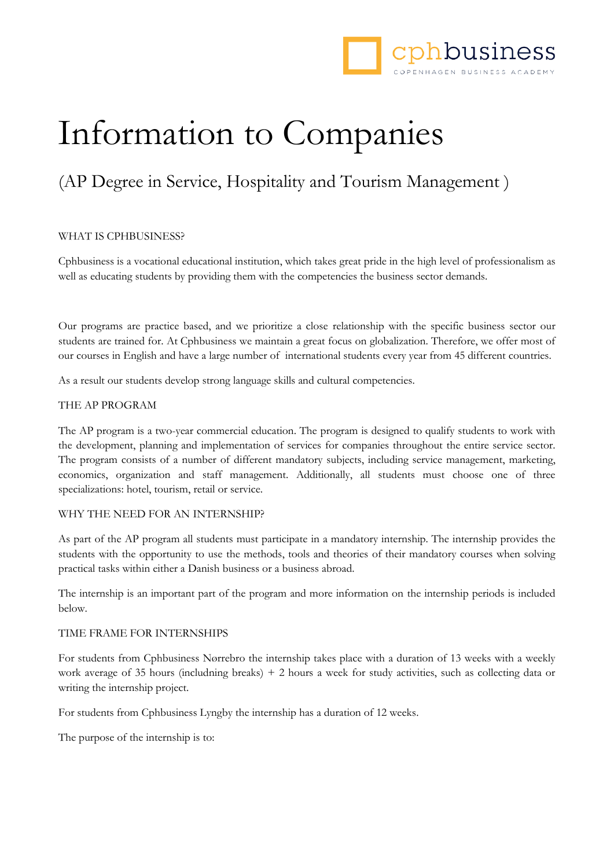

# Information to Companies

## (AP Degree in Service, Hospitality and Tourism Management )

#### WHAT IS CPHBUSINESS?

Cphbusiness is a vocational educational institution, which takes great pride in the high level of professionalism as well as educating students by providing them with the competencies the business sector demands.

Our programs are practice based, and we prioritize a close relationship with the specific business sector our students are trained for. At Cphbusiness we maintain a great focus on globalization. Therefore, we offer most of our courses in English and have a large number of international students every year from 45 different countries.

As a result our students develop strong language skills and cultural competencies.

#### THE AP PROGRAM

The AP program is a two-year commercial education. The program is designed to qualify students to work with the development, planning and implementation of services for companies throughout the entire service sector. The program consists of a number of different mandatory subjects, including service management, marketing, economics, organization and staff management. Additionally, all students must choose one of three specializations: hotel, tourism, retail or service.

#### WHY THE NEED FOR AN INTERNSHIP?

As part of the AP program all students must participate in a mandatory internship. The internship provides the students with the opportunity to use the methods, tools and theories of their mandatory courses when solving practical tasks within either a Danish business or a business abroad.

The internship is an important part of the program and more information on the internship periods is included below.

#### TIME FRAME FOR INTERNSHIPS

For students from Cphbusiness Nørrebro the internship takes place with a duration of 13 weeks with a weekly work average of 35 hours (includning breaks) + 2 hours a week for study activities, such as collecting data or writing the internship project.

For students from Cphbusiness Lyngby the internship has a duration of 12 weeks.

The purpose of the internship is to: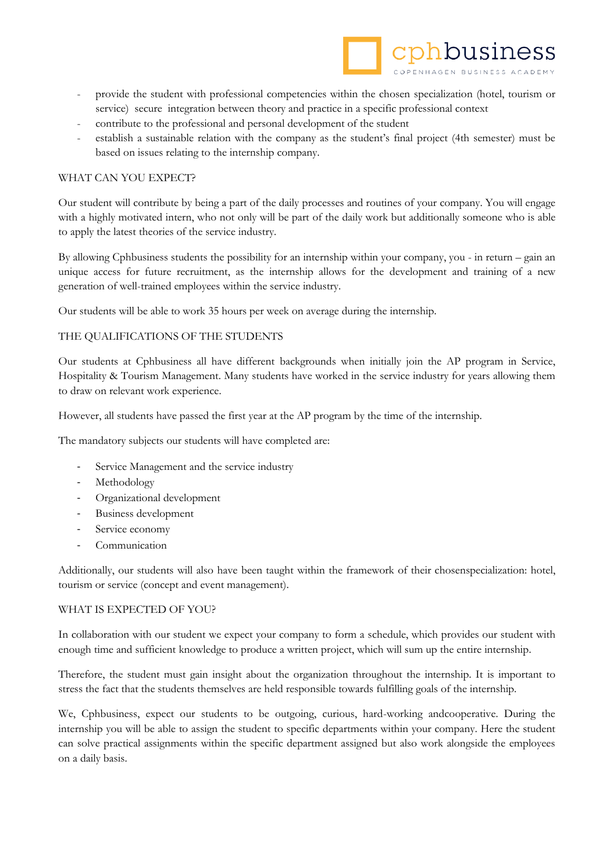

- provide the student with professional competencies within the chosen specialization (hotel, tourism or service) secure integration between theory and practice in a specific professional context
- contribute to the professional and personal development of the student
- establish a sustainable relation with the company as the student's final project (4th semester) must be based on issues relating to the internship company.

#### WHAT CAN YOU EXPECT?

Our student will contribute by being a part of the daily processes and routines of your company. You will engage with a highly motivated intern, who not only will be part of the daily work but additionally someone who is able to apply the latest theories of the service industry.

By allowing Cphbusiness students the possibility for an internship within your company, you - in return – gain an unique access for future recruitment, as the internship allows for the development and training of a new generation of well-trained employees within the service industry.

Our students will be able to work 35 hours per week on average during the internship.

### THE QUALIFICATIONS OF THE STUDENTS

Our students at Cphbusiness all have different backgrounds when initially join the AP program in Service, Hospitality & Tourism Management. Many students have worked in the service industry for years allowing them to draw on relevant work experience.

However, all students have passed the first year at the AP program by the time of the internship.

The mandatory subjects our students will have completed are:

- Service Management and the service industry
- Methodology
- Organizational development
- Business development
- Service economy
- **Communication**

Additionally, our students will also have been taught within the framework of their chosenspecialization: hotel, tourism or service (concept and event management).

#### WHAT IS EXPECTED OF YOU?

In collaboration with our student we expect your company to form a schedule, which provides our student with enough time and sufficient knowledge to produce a written project, which will sum up the entire internship.

Therefore, the student must gain insight about the organization throughout the internship. It is important to stress the fact that the students themselves are held responsible towards fulfilling goals of the internship.

We, Cphbusiness, expect our students to be outgoing, curious, hard-working andcooperative. During the internship you will be able to assign the student to specific departments within your company. Here the student can solve practical assignments within the specific department assigned but also work alongside the employees on a daily basis.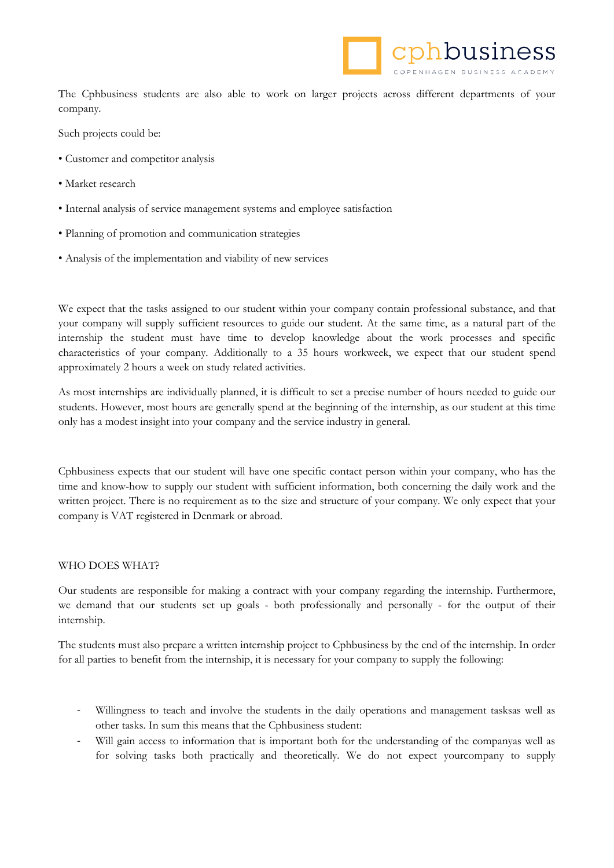

The Cphbusiness students are also able to work on larger projects across different departments of your company.

Such projects could be:

- Customer and competitor analysis
- Market research
- Internal analysis of service management systems and employee satisfaction
- Planning of promotion and communication strategies
- Analysis of the implementation and viability of new services

We expect that the tasks assigned to our student within your company contain professional substance, and that your company will supply sufficient resources to guide our student. At the same time, as a natural part of the internship the student must have time to develop knowledge about the work processes and specific characteristics of your company. Additionally to a 35 hours workweek, we expect that our student spend approximately 2 hours a week on study related activities.

As most internships are individually planned, it is difficult to set a precise number of hours needed to guide our students. However, most hours are generally spend at the beginning of the internship, as our student at this time only has a modest insight into your company and the service industry in general.

Cphbusiness expects that our student will have one specific contact person within your company, who has the time and know-how to supply our student with sufficient information, both concerning the daily work and the written project. There is no requirement as to the size and structure of your company. We only expect that your company is VAT registered in Denmark or abroad.

#### WHO DOES WHAT?

Our students are responsible for making a contract with your company regarding the internship. Furthermore, we demand that our students set up goals - both professionally and personally - for the output of their internship.

The students must also prepare a written internship project to Cphbusiness by the end of the internship. In order for all parties to benefit from the internship, it is necessary for your company to supply the following:

- Willingness to teach and involve the students in the daily operations and management tasksas well as other tasks. In sum this means that the Cphbusiness student:
- Will gain access to information that is important both for the understanding of the companyas well as for solving tasks both practically and theoretically. We do not expect yourcompany to supply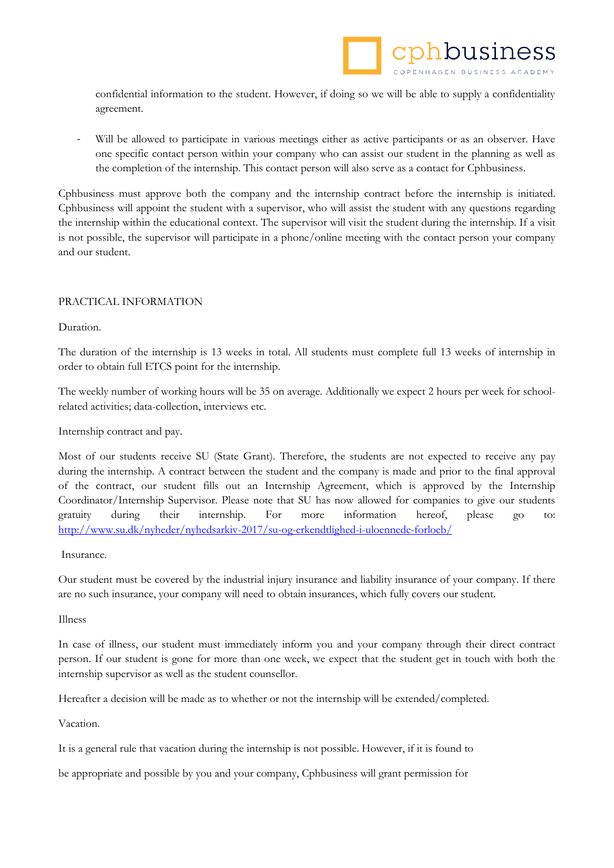confidential information to the student. However, if doing so we will be able to supply a confidentiality agreement.

Will be allowed to participate in various meetings either as active participants or as an observer. Have one specific contact person within your company who can assist our student in the planning as well as the completion of the internship. This contact person will also serve as a contact for Cphbusiness.

Cphbusiness must approve both the company and the internship contract before the internship is initiated. Cphbusiness will appoint the student with a supervisor, who will assist the student with any questions regarding the internship within the educational context. The supervisor will visit the student during the internship. If a visit is not possible, the supervisor will participate in a phone/online meeting with the contact person your company and our student.

#### PRACTICAL INFORMATION

Duration.

The duration of the internship is 13 weeks in total. All students must complete full 13 weeks of internship in order to obtain full ETCS point for the internship.

The weekly number of working hours will be 35 on average. Additionally we expect 2 hours per week for schoolrelated activities; data-collection, interviews etc.

Internship contract and pay.

Most of our students receive SU (State Grant). Therefore, the students are not expected to receive any pay during the internship. A contract between the student and the company is made and prior to the final approval of the contract, our student fills out an Internship Agreement, which is approved by the Internship Coordinator/Internship Supervisor. Please note that SU has now allowed for companies to give our students gratuity during their internship. For more information hereof, please go to: <http://www.su.dk/nyheder/nyhedsarkiv-2017/su-og-erkendtlighed-i-uloennede-forloeb/>

Insurance.

Our student must be covered by the industrial injury insurance and liability insurance of your company. If there are no such insurance, your company will need to obtain insurances, which fully covers our student.

Illness

In case of illness, our student must immediately inform you and your company through their direct contract person. If our student is gone for more than one week, we expect that the student get in touch with both the internship supervisor as well as the student counsellor.

Hereafter a decision will be made as to whether or not the internship will be extended/completed.

Vacation.

It is a general rule that vacation during the internship is not possible. However, if it is found to

be appropriate and possible by you and your company, Cphbusiness will grant permission for